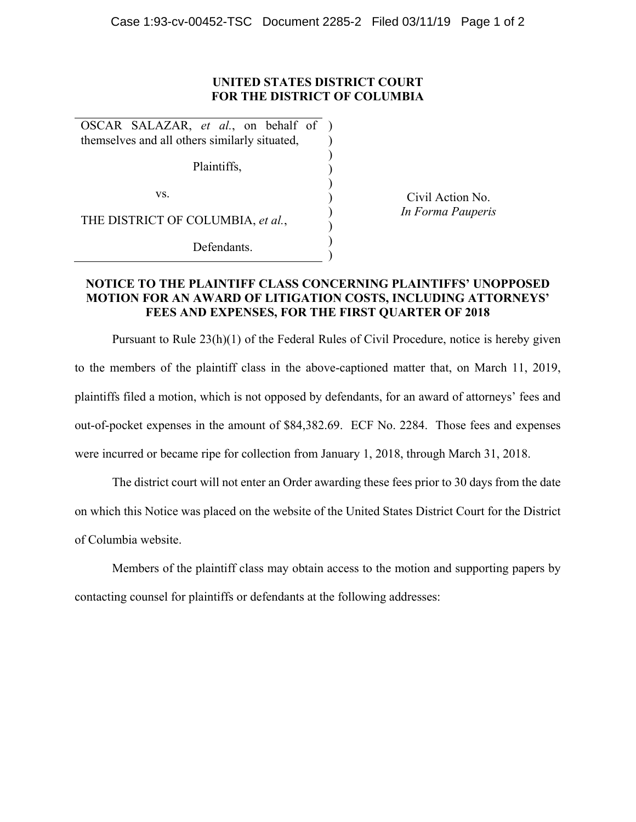## **UNITED STATES DISTRICT COURT FOR THE DISTRICT OF COLUMBIA**

) ) ) ) ) ) ) ) ) )

OSCAR SALAZAR, *et al.*, on behalf of themselves and all others similarly situated,

Plaintiffs,

vs.

THE DISTRICT OF COLUMBIA, *et al.*,

Defendants.

Civil Action No. *In Forma Pauperis*

## **NOTICE TO THE PLAINTIFF CLASS CONCERNING PLAINTIFFS' UNOPPOSED MOTION FOR AN AWARD OF LITIGATION COSTS, INCLUDING ATTORNEYS' FEES AND EXPENSES, FOR THE FIRST QUARTER OF 2018**

Pursuant to Rule 23(h)(1) of the Federal Rules of Civil Procedure, notice is hereby given to the members of the plaintiff class in the above-captioned matter that, on March 11, 2019, plaintiffs filed a motion, which is not opposed by defendants, for an award of attorneys' fees and out-of-pocket expenses in the amount of \$84,382.69. ECF No. 2284. Those fees and expenses were incurred or became ripe for collection from January 1, 2018, through March 31, 2018.

The district court will not enter an Order awarding these fees prior to 30 days from the date on which this Notice was placed on the website of the United States District Court for the District of Columbia website.

Members of the plaintiff class may obtain access to the motion and supporting papers by contacting counsel for plaintiffs or defendants at the following addresses: